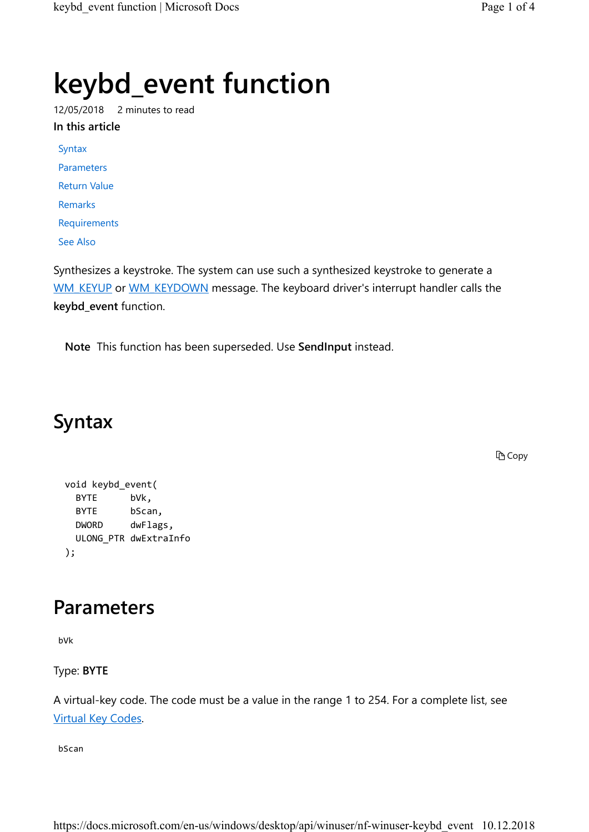# keybd\_event function

12/05/2018 2 minutes to read

In this article

Syntax Parameters Return Value Remarks

**Requirements** 

See Also

Synthesizes a keystroke. The system can use such a synthesized keystroke to generate a WM\_KEYUP or WM\_KEYDOWN message. The keyboard driver's interrupt handler calls the keybd\_event function.

Note This function has been superseded. Use SendInput instead.

# Syntax

**D** Copy

```
void keybd_event( 
  BYTE bVk, 
  BYTE bScan, 
  DWORD dwFlags, 
  ULONG_PTR dwExtraInfo 
);
```
### Parameters

bVk

Type: BYTE

A virtual-key code. The code must be a value in the range 1 to 254. For a complete list, see Virtual Key Codes.

bScan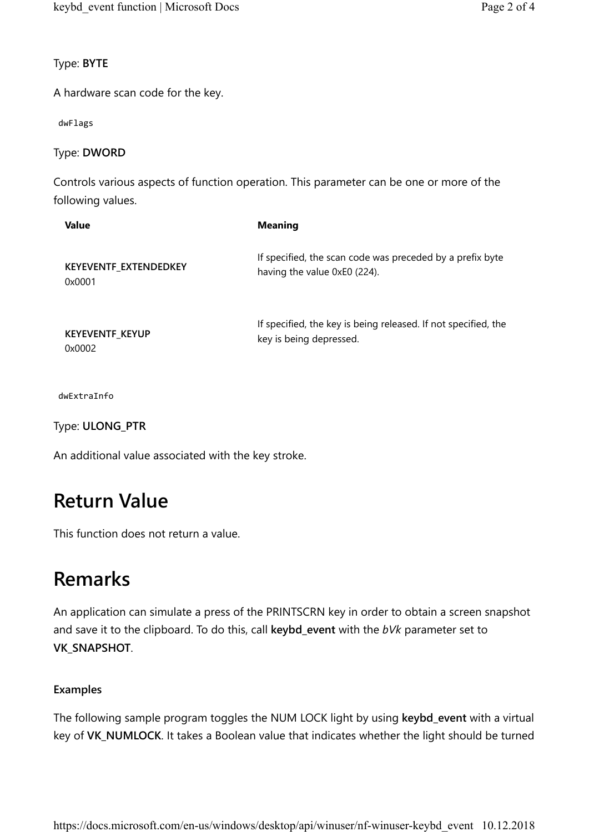#### Type: BYTE

A hardware scan code for the key.

dwFlags

Type: DWORD

Controls various aspects of function operation. This parameter can be one or more of the following values.

| Value                  | <b>Meaning</b>                                                 |
|------------------------|----------------------------------------------------------------|
| KEYEVENTF_EXTENDEDKEY  | If specified, the scan code was preceded by a prefix byte      |
| 0x0001                 | having the value 0xE0 (224).                                   |
| <b>KEYEVENTF KEYUP</b> | If specified, the key is being released. If not specified, the |
| 0x0002                 | key is being depressed.                                        |

dwExtraInfo

Type: ULONG\_PTR

An additional value associated with the key stroke.

# Return Value

This function does not return a value.

# Remarks

An application can simulate a press of the PRINTSCRN key in order to obtain a screen snapshot and save it to the clipboard. To do this, call keybd\_event with the  $bVk$  parameter set to VK\_SNAPSHOT.

#### Examples

The following sample program toggles the NUM LOCK light by using keybd\_event with a virtual key of VK\_NUMLOCK. It takes a Boolean value that indicates whether the light should be turned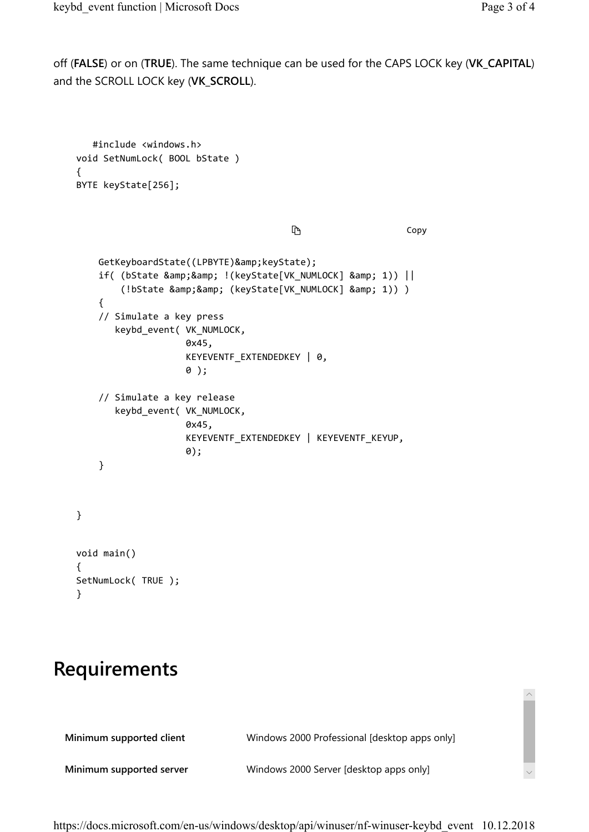off (FALSE) or on (TRUE). The same technique can be used for the CAPS LOCK key (VK\_CAPITAL) and the SCROLL LOCK key (VK\_SCROLL).

```
 #include <windows.h> 
void SetNumLock( BOOL bState ) 
{ 
BYTE keyState[256];
                                        h<br>http://www.copy
    GetKeyboardState((LPBYTE)&keyState);
    if( (bState && !(keyState[VK_NUMLOCK] & 1)) ||
        (!bState && (keyState[VK_NUMLOCK] & 1)) )
     { 
     // Simulate a key press 
        keybd_event( VK_NUMLOCK, 
                     0x45, 
                    KEYEVENTF_EXTENDEDKEY | 0,
                     0 ); 
     // Simulate a key release 
        keybd_event( VK_NUMLOCK, 
                     0x45, 
                     KEYEVENTF_EXTENDEDKEY | KEYEVENTF_KEYUP, 
                     0); 
     } 
}
void main() 
{ 
SetNumLock( TRUE ); 
}
```
#### Requirements

| Minimum supported client | Windows 2000 Professional [desktop apps only] |
|--------------------------|-----------------------------------------------|
| Minimum supported server | Windows 2000 Server [desktop apps only]       |

 $\curvearrowright$ 

 $\checkmark$